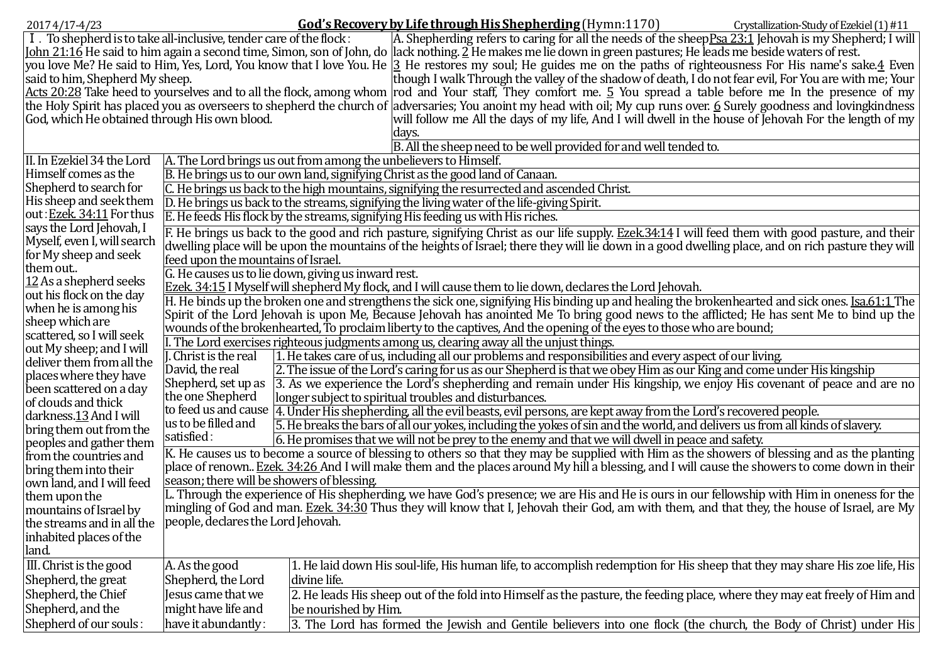| 2017 4/17-4/23                                                                                                                                                    |                                                                                                                                                                                | God's Recovery by Life through His Shepherding (Hymn: 1170)<br>Crystallization-Study of Ezekiel (1) #11                                                            |  |  |  |
|-------------------------------------------------------------------------------------------------------------------------------------------------------------------|--------------------------------------------------------------------------------------------------------------------------------------------------------------------------------|--------------------------------------------------------------------------------------------------------------------------------------------------------------------|--|--|--|
| I. To shepherd is to take all-inclusive, tender care of the flock:                                                                                                |                                                                                                                                                                                | A. Shepherding refers to caring for all the needs of the sheepPsa 23:1 Jehovah is my Shepherd; I will                                                              |  |  |  |
| John 21:16 He said to him again a second time, Simon, son of John, do  lack nothing. 2 He makes me lie down in green pastures; He leads me beside waters of rest. |                                                                                                                                                                                |                                                                                                                                                                    |  |  |  |
|                                                                                                                                                                   |                                                                                                                                                                                | you love Me? He said to Him, Yes, Lord, You know that I love You. He  3 He restores my soul; He guides me on the paths of righteousness For His name's sake.4 Even |  |  |  |
|                                                                                                                                                                   | said to him, Shepherd My sheep.<br>though I walk Through the valley of the shadow of death, I do not fear evil, For You are with me; Your                                      |                                                                                                                                                                    |  |  |  |
|                                                                                                                                                                   | Acts 20:28 Take heed to yourselves and to all the flock, among whom rod and Your staff, They comfort me. 5 You spread a table before me In the presence of my                  |                                                                                                                                                                    |  |  |  |
|                                                                                                                                                                   | the Holy Spirit has placed you as overseers to shepherd the church of  adversaries; You anoint my head with oil; My cup runs over. <u>6</u> Surely goodness and lovingkindness |                                                                                                                                                                    |  |  |  |
| God, which He obtained through His own blood.                                                                                                                     |                                                                                                                                                                                | will follow me All the days of my life, And I will dwell in the house of Jehovah For the length of my                                                              |  |  |  |
| days.                                                                                                                                                             |                                                                                                                                                                                |                                                                                                                                                                    |  |  |  |
| B. All the sheep need to be well provided for and well tended to.                                                                                                 |                                                                                                                                                                                |                                                                                                                                                                    |  |  |  |
| II. In Ezekiel 34 the Lord                                                                                                                                        |                                                                                                                                                                                | A. The Lord brings us out from among the unbelievers to Himself.                                                                                                   |  |  |  |
| Himself comes as the                                                                                                                                              | B. He brings us to our own land, signifying Christ as the good land of Canaan.                                                                                                 |                                                                                                                                                                    |  |  |  |
| Shepherd to search for                                                                                                                                            | C. He brings us back to the high mountains, signifying the resurrected and ascended Christ.                                                                                    |                                                                                                                                                                    |  |  |  |
| His sheep and seek them                                                                                                                                           | D. He brings us back to the streams, signifying the living water of the life-giving Spirit.                                                                                    |                                                                                                                                                                    |  |  |  |
| out: Ezek. 34:11 For thus                                                                                                                                         | E. He feeds His flock by the streams, signifying His feeding us with His riches.                                                                                               |                                                                                                                                                                    |  |  |  |
| says the Lord Jehovah, I                                                                                                                                          |                                                                                                                                                                                |                                                                                                                                                                    |  |  |  |
| Myself, even I, will search                                                                                                                                       | F. He brings us back to the good and rich pasture, signifying Christ as our life supply. Ezek.34:14 I will feed them with good pasture, and their                              |                                                                                                                                                                    |  |  |  |
| for My sheep and seek                                                                                                                                             | dwelling place will be upon the mountains of the heights of Israel; there they will lie down in a good dwelling place, and on rich pasture they will                           |                                                                                                                                                                    |  |  |  |
| them out                                                                                                                                                          | feed upon the mountains of Israel.                                                                                                                                             |                                                                                                                                                                    |  |  |  |
| $12$ As a shepherd seeks                                                                                                                                          | G. He causes us to lie down, giving us inward rest.                                                                                                                            |                                                                                                                                                                    |  |  |  |
| out his flock on the day                                                                                                                                          | <b>Ezek.</b> 34:15 I Myself will shepherd My flock, and I will cause them to lie down, declares the Lord Jehovah.                                                              |                                                                                                                                                                    |  |  |  |
| when he is among his                                                                                                                                              |                                                                                                                                                                                | H. He binds up the broken one and strengthens the sick one, signifying His binding up and healing the brokenhearted and sick ones. Isa.61:1 The                    |  |  |  |
| sheep which are                                                                                                                                                   | Spirit of the Lord Jehovah is upon Me, Because Jehovah has anointed Me To bring good news to the afflicted; He has sent Me to bind up the                                      |                                                                                                                                                                    |  |  |  |
| scattered, so I will seek                                                                                                                                         | wounds of the brokenhearted, To proclaim liberty to the captives, And the opening of the eyes to those who are bound;                                                          |                                                                                                                                                                    |  |  |  |
| out My sheep; and I will                                                                                                                                          |                                                                                                                                                                                | L. The Lord exercises righteous judgments among us, clearing away all the unjust things.                                                                           |  |  |  |
| deliver them from all the                                                                                                                                         | L. Christ is the real                                                                                                                                                          | 1. He takes care of us, including all our problems and responsibilities and every aspect of our living.                                                            |  |  |  |
| places where they have                                                                                                                                            | David, the real                                                                                                                                                                | 2. The issue of the Lord's caring for us as our Shepherd is that we obey Him as our King and come under His kingship                                               |  |  |  |
| been scattered on a day                                                                                                                                           | Shepherd, set up as<br>the one Shepherd                                                                                                                                        | 3. As we experience the Lord's shepherding and remain under His kingship, we enjoy His covenant of peace and are no                                                |  |  |  |
| of clouds and thick                                                                                                                                               |                                                                                                                                                                                | longer subject to spiritual troubles and disturbances.                                                                                                             |  |  |  |
| darkness.13 And I will                                                                                                                                            | us to be filled and                                                                                                                                                            | to feed us and cause 4. Under His shepherding, all the evil beasts, evil persons, are kept away from the Lord's recovered people.                                  |  |  |  |
| bring them out from the                                                                                                                                           | satisfied:                                                                                                                                                                     | [5. He breaks the bars of all our yokes, including the yokes of sin and the world, and delivers us from all kinds of slavery.                                      |  |  |  |
| peoples and gather them                                                                                                                                           | 6. He promises that we will not be prey to the enemy and that we will dwell in peace and safety.                                                                               |                                                                                                                                                                    |  |  |  |
| from the countries and                                                                                                                                            | K. He causes us to become a source of blessing to others so that they may be supplied with Him as the showers of blessing and as the planting                                  |                                                                                                                                                                    |  |  |  |
| bring them into their                                                                                                                                             | place of renown Ezek. 34:26 And I will make them and the places around My hill a blessing, and I will cause the showers to come down in their                                  |                                                                                                                                                                    |  |  |  |
| own land, and I will feed                                                                                                                                         | season; there will be showers of blessing.                                                                                                                                     |                                                                                                                                                                    |  |  |  |
| them upon the                                                                                                                                                     | L. Through the experience of His shepherding, we have God's presence; we are His and He is ours in our fellowship with Him in oneness for the                                  |                                                                                                                                                                    |  |  |  |
| mountains of Israel by                                                                                                                                            | mingling of God and man. Ezek. 34:30 Thus they will know that I, Jehovah their God, am with them, and that they, the house of Israel, are My                                   |                                                                                                                                                                    |  |  |  |
| the streams and in all the                                                                                                                                        | people, declares the Lord Jehovah.                                                                                                                                             |                                                                                                                                                                    |  |  |  |
| inhabited places of the                                                                                                                                           |                                                                                                                                                                                |                                                                                                                                                                    |  |  |  |
| land.                                                                                                                                                             |                                                                                                                                                                                |                                                                                                                                                                    |  |  |  |
| III. Christ is the good                                                                                                                                           | A. As the good                                                                                                                                                                 | 1. He laid down His soul-life, His human life, to accomplish redemption for His sheep that they may share His zoe life, His                                        |  |  |  |
| Shepherd, the great                                                                                                                                               | Shepherd, the Lord                                                                                                                                                             | divine life.                                                                                                                                                       |  |  |  |
| Shepherd, the Chief                                                                                                                                               | Jesus came that we                                                                                                                                                             | 2. He leads His sheep out of the fold into Himself as the pasture, the feeding place, where they may eat freely of Him and                                         |  |  |  |
| Shepherd, and the                                                                                                                                                 | might have life and                                                                                                                                                            | be nourished by Him.                                                                                                                                               |  |  |  |
| Shepherd of our souls:                                                                                                                                            | have it abundantly:                                                                                                                                                            | 3. The Lord has formed the Jewish and Gentile believers into one flock (the church, the Body of Christ) under His                                                  |  |  |  |
|                                                                                                                                                                   |                                                                                                                                                                                |                                                                                                                                                                    |  |  |  |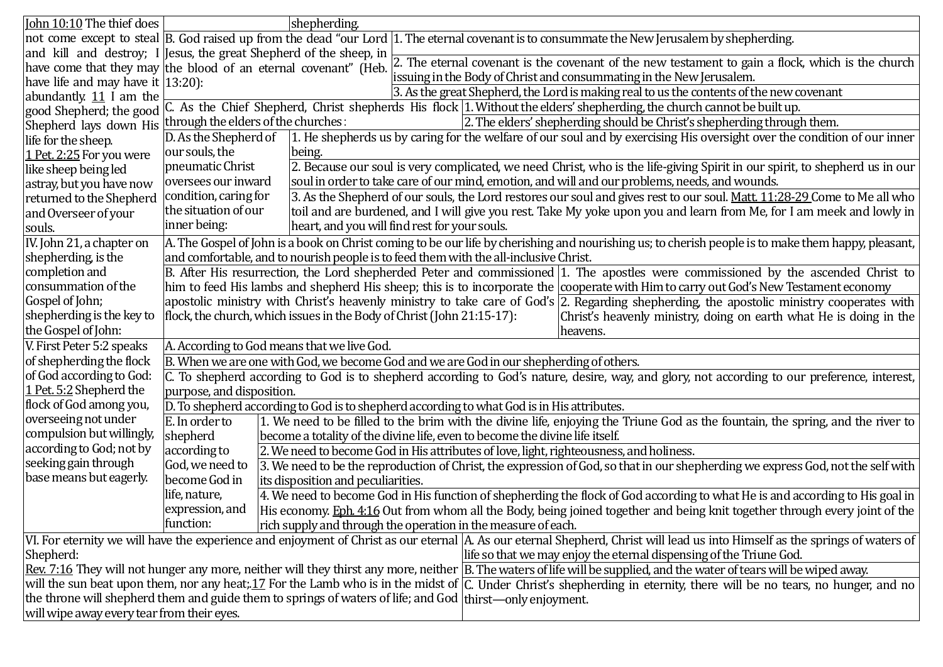| John 10:10 The thief does                                                                                                                                                     |                                                                                                                                                                      | shepherding.                                                                                                                              |  |  |
|-------------------------------------------------------------------------------------------------------------------------------------------------------------------------------|----------------------------------------------------------------------------------------------------------------------------------------------------------------------|-------------------------------------------------------------------------------------------------------------------------------------------|--|--|
|                                                                                                                                                                               | not come except to steal  B. God raised up from the dead "our Lord  1. The eternal covenant is to consummate the New Jerusalem by shepherding.                       |                                                                                                                                           |  |  |
|                                                                                                                                                                               |                                                                                                                                                                      | and kill and destroy; I Jesus, the great Shepherd of the sheep, in                                                                        |  |  |
|                                                                                                                                                                               | 2. The eternal covenant is the covenant of the new testament to gain a flock, which is the church<br>have come that they may the blood of an eternal covenant" (Heb. |                                                                                                                                           |  |  |
| have life and may have it $ 13:20$ :                                                                                                                                          | issuing in the Body of Christ and consummating in the New Jerusalem.                                                                                                 |                                                                                                                                           |  |  |
| abundantly. $11$ I am the                                                                                                                                                     |                                                                                                                                                                      | 3. As the great Shepherd, the Lord is making real to us the contents of the new covenant                                                  |  |  |
|                                                                                                                                                                               | good Shepherd; the good C. As the Chief Shepherd, Christ shepherds His flock 1. Without the elders' shepherding, the church cannot be built up.                      |                                                                                                                                           |  |  |
| Shepherd lays down His                                                                                                                                                        | through the elders of the churches:<br>2. The elders' shepherding should be Christ's shepherding through them.                                                       |                                                                                                                                           |  |  |
| life for the sheep.                                                                                                                                                           | D. As the Shepherd of                                                                                                                                                | 1. He shepherds us by caring for the welfare of our soul and by exercising His oversight over the condition of our inner                  |  |  |
| 1 Pet. 2:25 For you were                                                                                                                                                      | our souls, the                                                                                                                                                       | being.                                                                                                                                    |  |  |
| like sheep being led                                                                                                                                                          | pneumatic Christ                                                                                                                                                     | 2. Because our soul is very complicated, we need Christ, who is the life-giving Spirit in our spirit, to shepherd us in our               |  |  |
| astray, but you have now                                                                                                                                                      | oversees our inward                                                                                                                                                  | soul in order to take care of our mind, emotion, and will and our problems, needs, and wounds.                                            |  |  |
| returned to the Shepherd                                                                                                                                                      | condition, caring for                                                                                                                                                | 3. As the Shepherd of our souls, the Lord restores our soul and gives rest to our soul. Matt. 11:28-29 Come to Me all who                 |  |  |
| and Overseer of your                                                                                                                                                          | the situation of our                                                                                                                                                 | toil and are burdened, and I will give you rest. Take My yoke upon you and learn from Me, for I am meek and lowly in                      |  |  |
| souls.                                                                                                                                                                        | inner being:                                                                                                                                                         | heart, and you will find rest for your souls.                                                                                             |  |  |
| IV. John 21, a chapter on                                                                                                                                                     | A. The Gospel of John is a book on Christ coming to be our life by cherishing and nourishing us; to cherish people is to make them happy, pleasant,                  |                                                                                                                                           |  |  |
| shepherding, is the                                                                                                                                                           | and comfortable, and to nourish people is to feed them with the all-inclusive Christ.                                                                                |                                                                                                                                           |  |  |
| completion and                                                                                                                                                                | B. After His resurrection, the Lord shepherded Peter and commissioned 1. The apostles were commissioned by the ascended Christ to                                    |                                                                                                                                           |  |  |
| consummation of the                                                                                                                                                           | him to feed His lambs and shepherd His sheep; this is to incorporate the cooperate with Him to carry out God's New Testament economy                                 |                                                                                                                                           |  |  |
| Gospel of John;                                                                                                                                                               |                                                                                                                                                                      | apostolic ministry with Christ's heavenly ministry to take care of God's 2. Regarding shepherding, the apostolic ministry cooperates with |  |  |
| shepherding is the key to                                                                                                                                                     | flock, the church, which issues in the Body of Christ (John 21:15-17):<br>Christ's heavenly ministry, doing on earth what He is doing in the                         |                                                                                                                                           |  |  |
| the Gospel of John:                                                                                                                                                           | heavens.                                                                                                                                                             |                                                                                                                                           |  |  |
| V. First Peter 5:2 speaks                                                                                                                                                     | A. According to God means that we live God.                                                                                                                          |                                                                                                                                           |  |  |
| of shepherding the flock                                                                                                                                                      | B. When we are one with God, we become God and we are God in our shepherding of others.                                                                              |                                                                                                                                           |  |  |
| of God according to God:                                                                                                                                                      | C. To shepherd according to God is to shepherd according to God's nature, desire, way, and glory, not according to our preference, interest,                         |                                                                                                                                           |  |  |
| 1 Pet. 5:2 Shepherd the                                                                                                                                                       | purpose, and disposition.                                                                                                                                            |                                                                                                                                           |  |  |
| flock of God among you,                                                                                                                                                       | D. To shepherd according to God is to shepherd according to what God is in His attributes.                                                                           |                                                                                                                                           |  |  |
| overseeing not under                                                                                                                                                          | E. In order to                                                                                                                                                       | 1. We need to be filled to the brim with the divine life, enjoying the Triune God as the fountain, the spring, and the river to           |  |  |
| compulsion but willingly,                                                                                                                                                     | shepherd                                                                                                                                                             | become a totality of the divine life, even to become the divine life itself.                                                              |  |  |
| according to God; not by                                                                                                                                                      | according to                                                                                                                                                         | 2. We need to become God in His attributes of love, light, righteousness, and holiness.                                                   |  |  |
| seeking gain through                                                                                                                                                          | God, we need to                                                                                                                                                      | 3. We need to be the reproduction of Christ, the expression of God, so that in our shepherding we express God, not the self with          |  |  |
| base means but eagerly.                                                                                                                                                       | become God in                                                                                                                                                        | its disposition and peculiarities.                                                                                                        |  |  |
|                                                                                                                                                                               | life, nature,                                                                                                                                                        | 4. We need to become God in His function of shepherding the flock of God according to what He is and according to His goal in             |  |  |
|                                                                                                                                                                               | expression, and                                                                                                                                                      | His economy. Eph. 4:16 Out from whom all the Body, being joined together and being knit together through every joint of the               |  |  |
|                                                                                                                                                                               | function:                                                                                                                                                            | rich supply and through the operation in the measure of each.                                                                             |  |  |
| VI. For eternity we will have the experience and enjoyment of Christ as our eternal  A. As our eternal Shepherd, Christ will lead us into Himself as the springs of waters of |                                                                                                                                                                      |                                                                                                                                           |  |  |
| life so that we may enjoy the eternal dispensing of the Triune God.<br>Shepherd:                                                                                              |                                                                                                                                                                      |                                                                                                                                           |  |  |
| Rev. 7:16 They will not hunger any more, neither will they thirst any more, neither  B. The waters of life will be supplied, and the water of tears will be wiped away.       |                                                                                                                                                                      |                                                                                                                                           |  |  |
| will the sun beat upon them, nor any heat, 17 For the Lamb who is in the midst of C. Under Christ's shepherding in eternity, there will be no tears, no hunger, and no        |                                                                                                                                                                      |                                                                                                                                           |  |  |
| the throne will shepherd them and guide them to springs of waters of life; and God thirst—only enjoyment.                                                                     |                                                                                                                                                                      |                                                                                                                                           |  |  |
| will wipe away every tear from their eyes.                                                                                                                                    |                                                                                                                                                                      |                                                                                                                                           |  |  |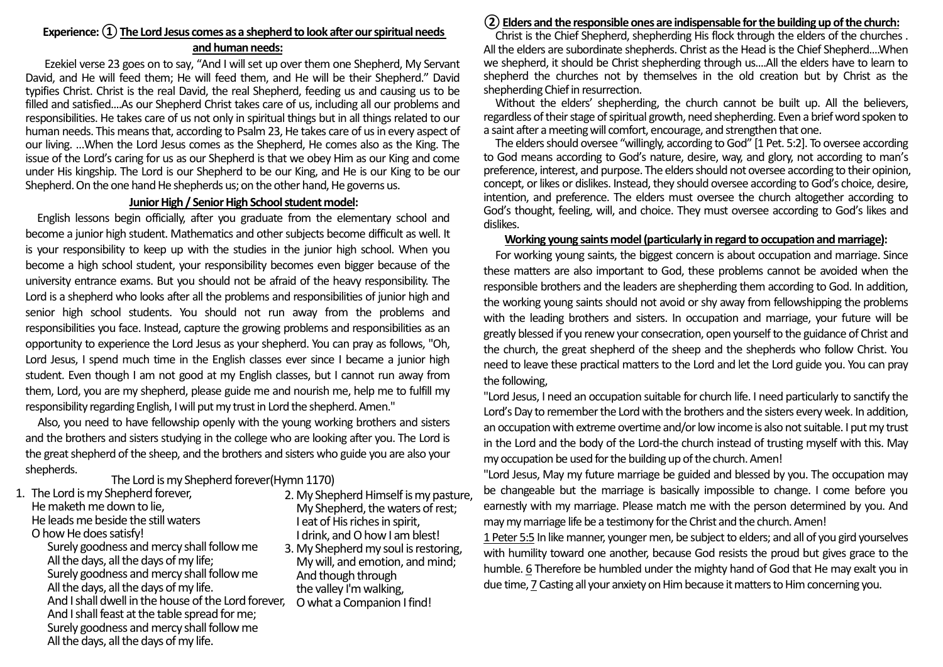# **Experience: ① The Lord Jesus comes as a shepherd to look after our spiritual needs and human needs:**

Ezekiel verse 23 goes on to say, "And I will set up over them one Shepherd, My Servant David, and He will feed them; He will feed them, and He will be their Shepherd." David typifies Christ. Christ is the real David, the real Shepherd, feeding us and causing us to be filled and satisfied....As our Shepherd Christ takes care of us, including all our problems and responsibilities. He takes care of us not only in spiritual things but in all things related to our human needs. This means that, according to Psalm 23, He takes care of us in every aspect of our living. …When the Lord Jesus comes as the Shepherd, He comes also as the King. The issue of the Lord's caring for us as our Shepherd is that we obey Him as our King and come under His kingship. The Lord is our Shepherd to be our King, and He is our King to be our Shepherd. On the one hand He shepherds us; on the other hand, He governs us.

### **Junior High / Senior High School student model:**

English lessons begin officially, after you graduate from the elementary school and become a junior high student. Mathematics and other subjects become difficult as well. It is your responsibility to keep up with the studies in the junior high school. When you become a high school student, your responsibility becomes even bigger because of the university entrance exams. But you should not be afraid of the heavy responsibility. The Lord is a shepherd who looks after all the problems and responsibilities of junior high and senior high school students. You should not run away from the problems and responsibilities you face. Instead, capture the growing problems and responsibilities as an opportunity to experience the Lord Jesus as your shepherd. You can pray as follows, "Oh, Lord Jesus, I spend much time in the English classes ever since I became a junior high student. Even though I am not good at my English classes, but I cannot run away from them, Lord, you are my shepherd, please guide me and nourish me, help me to fulfill my responsibility regarding English, I will put my trust in Lord the shepherd. Amen."

Also, you need to have fellowship openly with the young working brothers and sisters and the brothers and sisters studying in the college who are looking after you. The Lord is the great shepherd of the sheep, and the brothers and sisters who guide you are also your shepherds.

The Lord is my Shepherd forever(Hymn 1170)

- 1. The Lord is my Shepherd forever, He maketh me down to lie, He leads me beside the still waters O how He does satisfy!
	- Surely goodness and mercy shall follow me All the days, all the days of my life; Surely goodness and mercy shall follow me All the days, all the days of my life. And I shall dwell in the house of the Lord forever, And I shall feast at the table spread for me; Surely goodness and mercy shall followme All the days, all the days of my life.
- 2. My Shepherd Himself is my pasture, My Shepherd, the waters of rest; I eat of His riches in spirit, I drink, and O how I am blest!
	- 3. My Shepherd my soul is restoring, My will, and emotion, and mind; And though through the valley I'm walking, O what a Companion I find!

## **②Elders and the responsible ones are indispensable for the building up of the church:**

Christ is the Chief Shepherd, shepherding His flock through the elders of the churches . All the elders are subordinate shepherds. Christ as the Head is the Chief Shepherd....When we shepherd, it should be Christ shepherding through us....All the elders have to learn to shepherd the churches not by themselves in the old creation but by Christ as the shepherding Chief in resurrection.

Without the elders' shepherding, the church cannot be built up. All the believers, regardless of their stage of spiritual growth, need shepherding. Even a brief word spoken to a saint after a meeting will comfort, encourage, and strengthen that one.

 The elders should oversee "willingly, according to God" [1 Pet. 5:2]. To oversee according to God means according to God's nature, desire, way, and glory, not according to man's preference, interest, and purpose. The elders should not oversee according to their opinion, concept, or likes or dislikes. Instead, they should oversee according to God's choice, desire, intention, and preference. The elders must oversee the church altogether according to God's thought, feeling, will, and choice. They must oversee according to God's likes and dislikes.

#### **Working young saints model (particularly in regard to occupation and marriage):**

For working young saints, the biggest concern is about occupation and marriage. Since these matters are also important to God, these problems cannot be avoided when the responsible brothers and the leaders are shepherding them according to God. In addition, the working young saints should not avoid or shy away from fellowshipping the problems with the leading brothers and sisters. In occupation and marriage, your future will be greatly blessed if you renew your consecration, open yourself to the guidance of Christ and the church, the great shepherd of the sheep and the shepherds who follow Christ. You need to leave these practical matters to the Lord and let the Lord guide you. You can pray the following,

"Lord Jesus, I need an occupation suitable for church life. I need particularly to sanctify the Lord's Day to remember the Lord with the brothers and the sisters every week. In addition, an occupation with extreme overtime and/or low income is also not suitable. I put my trust in the Lord and the body of the Lord-the church instead of trusting myself with this. May my occupation be used for the building up of the church. Amen!

"Lord Jesus, May my future marriage be guided and blessed by you. The occupation may be changeable but the marriage is basically impossible to change. I come before you earnestly with my marriage. Please match me with the person determined by you. And may my marriage life be a testimony for the Christ and the church. Amen!

1 Peter 5:5 In like manner, younger men, be subject to elders; and all of you gird yourselves with humility toward one another, because God resists the proud but gives grace to the humble. 6 Therefore be humbled under the mighty hand of God that He may exalt you in due time, 7 Casting all your anxiety on Him because it matters to Him concerning you.